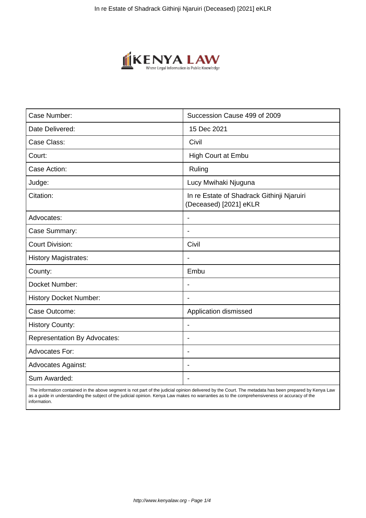

| Case Number:                        | Succession Cause 499 of 2009                                         |
|-------------------------------------|----------------------------------------------------------------------|
| Date Delivered:                     | 15 Dec 2021                                                          |
| Case Class:                         | Civil                                                                |
| Court:                              | High Court at Embu                                                   |
| Case Action:                        | Ruling                                                               |
| Judge:                              | Lucy Mwihaki Njuguna                                                 |
| Citation:                           | In re Estate of Shadrack Githinji Njaruiri<br>(Deceased) [2021] eKLR |
| Advocates:                          |                                                                      |
| Case Summary:                       | $\overline{\phantom{a}}$                                             |
| <b>Court Division:</b>              | Civil                                                                |
| <b>History Magistrates:</b>         | $\overline{\phantom{a}}$                                             |
| County:                             | Embu                                                                 |
| Docket Number:                      | $\overline{\phantom{a}}$                                             |
| <b>History Docket Number:</b>       |                                                                      |
| Case Outcome:                       | Application dismissed                                                |
| <b>History County:</b>              | $\overline{\phantom{a}}$                                             |
| <b>Representation By Advocates:</b> | $\overline{\phantom{a}}$                                             |
| <b>Advocates For:</b>               | $\overline{\phantom{a}}$                                             |
| <b>Advocates Against:</b>           | $\blacksquare$                                                       |
| Sum Awarded:                        |                                                                      |

 The information contained in the above segment is not part of the judicial opinion delivered by the Court. The metadata has been prepared by Kenya Law as a guide in understanding the subject of the judicial opinion. Kenya Law makes no warranties as to the comprehensiveness or accuracy of the information.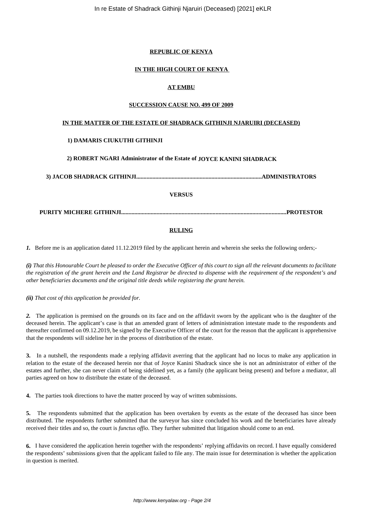## **REPUBLIC OF KENYA**

### **IN THE HIGH COURT OF KENYA**

# **AT EMBU**

#### **SUCCESSION CAUSE NO. 499 OF 2009**

### **IN THE MATTER OF THE ESTATE OF SHADRACK GITHINJI NJARUIRI (DECEASED)**

### **1) DAMARIS CIUKUTHI GITHINJI**

**2) ROBERT NGARI Administrator of the Estate of JOYCE KANINI SHADRACK**

**3) JACOB SHADRACK GITHINJI.....................................................................................ADMINISTRATORS**

### **VERSUS**

# **PURITY MICHERE GITHINJI................................................................................................................PROTESTOR**

### **RULING**

*1.* Before me is an application dated 11.12.2019 filed by the applicant herein and wherein she seeks the following orders;-

*(i) That this Honourable Court be pleased to order the Executive Officer of this court to sign all the relevant documents to facilitate the registration of the grant herein and the Land Registrar be directed to dispense with the requirement of the respondent's and other beneficiaries documents and the original title deeds while registering the grant herein.*

*(ii) That cost of this application be provided for.*

*2.* The application is premised on the grounds on its face and on the affidavit sworn by the applicant who is the daughter of the deceased herein. The applicant's case is that an amended grant of letters of administration intestate made to the respondents and thereafter confirmed on 09.12.2019, be signed by the Executive Officer of the court for the reason that the applicant is apprehensive that the respondents will sideline her in the process of distribution of the estate.

**3.** In a nutshell, the respondents made a replying affidavit averring that the applicant had no locus to make any application in relation to the estate of the deceased herein nor that of Joyce Kanini Shadrack since she is not an administrator of either of the estates and further, she can never claim of being sidelined yet, as a family (the applicant being present) and before a mediator, all parties agreed on how to distribute the estate of the deceased.

**4.** The parties took directions to have the matter proceed by way of written submissions.

**5.** The respondents submitted that the application has been overtaken by events as the estate of the deceased has since been distributed. The respondents further submitted that the surveyor has since concluded his work and the beneficiaries have already received their titles and so, the court is *functus offio*. They further submitted that litigation should come to an end.

**6.** I have considered the application herein together with the respondents' replying affidavits on record. I have equally considered the respondents' submissions given that the applicant failed to file any. The main issue for determination is whether the application in question is merited.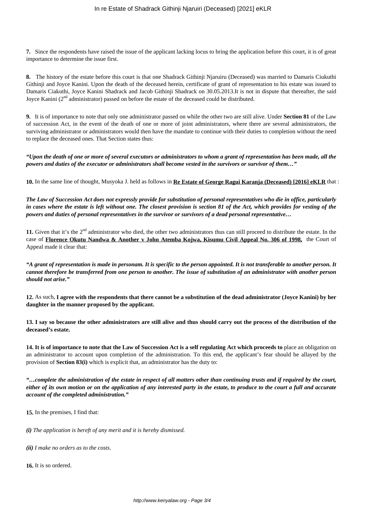**7.** Since the respondents have raised the issue of the applicant lacking locus to bring the application before this court, it is of great importance to determine the issue first.

**8.** The history of the estate before this court is that one Shadrack Githinji Njaruiru (Deceased) was married to Damaris Ciukuthi Githinji and Joyce Kanini. Upon the death of the deceased herein, certificate of grant of representation to his estate was issued to Damaris Ciakuthi, Joyce Kanini Shadrack and Jacob Githinji Shadrack on 30.05.2013.It is not in dispute that thereafter, the said Joyce Kanini (2<sup>nd</sup> administrator) passed on before the estate of the deceased could be distributed.

**9.** It is of importance to note that only one administrator passed on while the other two are still alive. Under **Section 81** of the Law of succession Act, in the event of the death of one or more of joint administrators, where there are several administrators, the surviving administrator or administrators would then have the mandate to continue with their duties to completion without the need to replace the deceased ones. That Section states thus:

*"Upon the death of one or more of several executors or administrators to whom a grant of representation has been made, all the powers and duties of the executor or administrators shall become vested in the survivors or survivor of them…"*

**10.** In the same line of thought, Musyoka J. held as follows in **Re Estate of George Ragui Karanja (Deceased) [2016] eKLR** that :

*The Law of Succession Act does not expressly provide for substitution of personal representatives who die in office, particularly in cases where the estate is left without one. The closest provision is section 81 of the Act, which provides for vesting of the powers and duties of personal representatives in the survivor or survivors of a dead personal representative…*

11. Given that it's the 2<sup>nd</sup> administrator who died, the other two administrators thus can still proceed to distribute the estate. In the case of **Florence Okutu Nandwa & Another v John Atemba Kojwa, Kisumu Civil Appeal No. 306 of 1998,** the Court of Appeal made it clear that:

*"A grant of representation is made in personam. It is specific to the person appointed. It is not transferable to another person. It cannot therefore be transferred from one person to another. The issue of substitution of an administrator with another person should not arise."*

**12.** As such, **I agree with the respondents that there cannot be a substitution of the dead administrator (Joyce Kanini) by her daughter in the manner proposed by the applicant.**

**13. I say so because the other administrators are still alive and thus should carry out the process of the distribution of the deceased's estate.**

**14. It is of importance to note that the Law of Succession Act is a self regulating Act which proceeds to** place an obligation on an administrator to account upon completion of the administration. To this end, the applicant's fear should be allayed by the provision of **Section 83(i)** which is explicit that, an administrator has the duty to:

*"…complete the administration of the estate in respect of all matters other than continuing trusts and if required by the court, either of its own motion or on the application of any interested party in the estate, to produce to the court a full and accurate account of the completed administration."*

**15.** In the premises, I find that:

*(i) The application is bereft of any merit and it is hereby dismissed.*

*(ii) I make no orders as to the costs*.

**16.** It is so ordered.